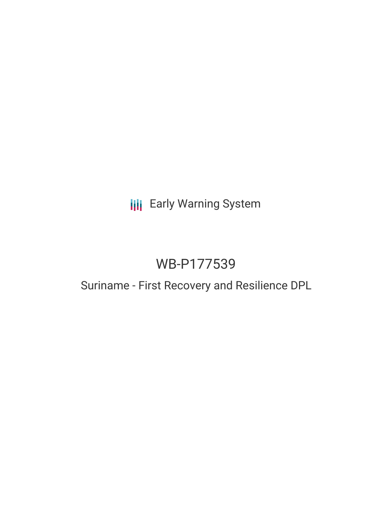## **III** Early Warning System

# WB-P177539

## Suriname - First Recovery and Resilience DPL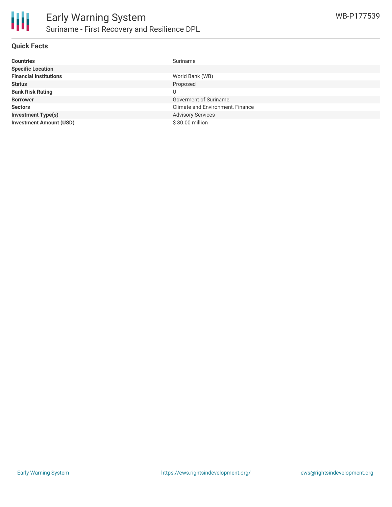

#### **Quick Facts**

| <b>Countries</b>               | Suriname                         |
|--------------------------------|----------------------------------|
| <b>Specific Location</b>       |                                  |
| <b>Financial Institutions</b>  | World Bank (WB)                  |
| <b>Status</b>                  | Proposed                         |
| <b>Bank Risk Rating</b>        |                                  |
| <b>Borrower</b>                | Goverment of Suriname            |
| <b>Sectors</b>                 | Climate and Environment, Finance |
| <b>Investment Type(s)</b>      | <b>Advisory Services</b>         |
| <b>Investment Amount (USD)</b> | \$30.00 million                  |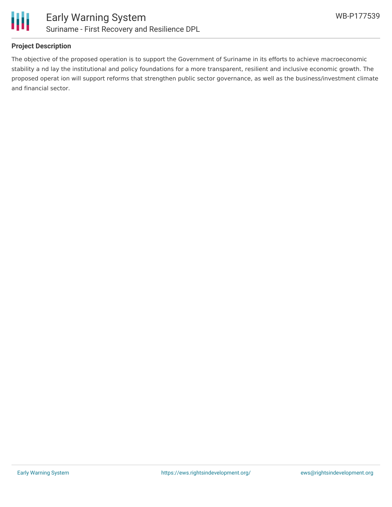

### **Project Description**

The objective of the proposed operation is to support the Government of Suriname in its efforts to achieve macroeconomic stability a nd lay the institutional and policy foundations for a more transparent, resilient and inclusive economic growth. The proposed operat ion will support reforms that strengthen public sector governance, as well as the business/investment climate and financial sector.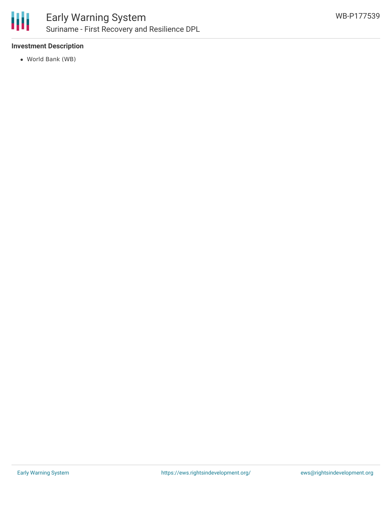

### **Investment Description**

World Bank (WB)